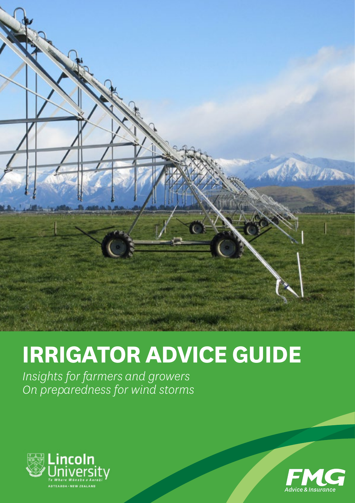

# **IRRIGATOR ADVICE GUIDE**

*Insights for farmers and growers On preparedness for wind storms* 



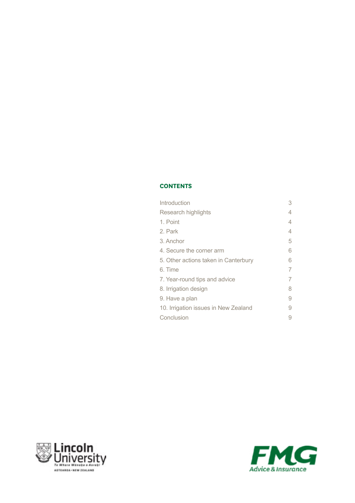### **CONTENTS**

| Introduction                         | 3 |
|--------------------------------------|---|
| Research highlights                  | 4 |
| 1. Point                             | 4 |
| 2. Park                              | 4 |
| 3. Anchor                            | 5 |
| 4. Secure the corner arm             | 6 |
| 5. Other actions taken in Canterbury | 6 |
| 6. Time                              |   |
| 7. Year-round tips and advice        |   |
| 8. Irrigation design                 | 8 |
| 9. Have a plan                       | 9 |
| 10. Irrigation issues in New Zealand | 9 |
| Conclusion                           |   |
|                                      |   |



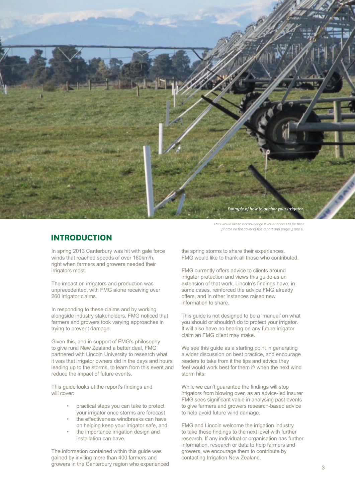

**INTRODUCTION**

In spring 2013 Canterbury was hit with gale force winds that reached speeds of over 160km/h, right when farmers and growers needed their irrigators most.

The impact on irrigators and production was unprecedented, with FMG alone receiving over 260 irrigator claims.

In responding to these claims and by working alongside industry stakeholders, FMG noticed that farmers and growers took varying approaches in trying to prevent damage.

Given this, and in support of FMG's philosophy to give rural New Zealand a better deal, FMG partnered with Lincoln University to research what it was that irrigator owners did in the days and hours leading up to the storms, to learn from this event and reduce the impact of future events.

This guide looks at the report's findings and will cover:

- practical steps you can take to protect your irrigator once storms are forecast
- the effectiveness windbreaks can have on helping keep your irrigator safe, and
- the importance irrigation design and installation can have.

The information contained within this guide was gained by inviting more than 400 farmers and growers in the Canterbury region who experienced

*FMG would like to acknowledge Pivot Anchors Ltd for their photos on the cover of this report and pages 3 and 6.*

the spring storms to share their experiences. FMG would like to thank all those who contributed.

FMG currently offers advice to clients around irrigator protection and views this guide as an extension of that work. Lincoln's findings have, in some cases, reinforced the advice FMG already offers, and in other instances raised new information to share.

This guide is not designed to be a 'manual' on what you should or shouldn't do to protect your irrigator. It will also have no bearing on any future irrigator claim an FMG client may make.

We see this guide as a starting point in generating a wider discussion on best practice, and encourage readers to take from it the tips and advice they feel would work best for them if/ when the next wind storm hits.

While we can't guarantee the findings will stop irrigators from blowing over, as an advice-led insurer FMG sees significant value in analysing past events to give farmers and growers research-based advice to help avoid future wind damage.

FMG and Lincoln welcome the irrigation industry to take these findings to the next level with further research. If any individual or organisation has further information, research or data to help farmers and growers, we encourage them to contribute by contacting Irrigation New Zealand.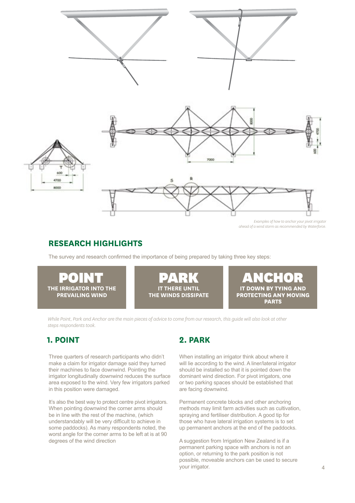

## **RESEARCH HIGHLIGHTS**

The survey and research confirmed the importance of being prepared by taking three key steps:



*While Point, Park and Anchor are the main pieces of advice to come from our research, this guide will also look at other steps respondents took.* 

## **1. POINT 2. PARK**

Three quarters of research participants who didn't make a claim for irrigator damage said they turned their machines to face downwind. Pointing the irrigator longitudinally downwind reduces the surface area exposed to the wind. Very few irrigators parked in this position were damaged.

It's also the best way to protect centre pivot irrigators. When pointing downwind the corner arms should be in line with the rest of the machine, (which understandably will be very difficult to achieve in some paddocks). As many respondents noted, the worst angle for the corner arms to be left at is at 90 degrees of the wind direction

When installing an irrigator think about where it will lie according to the wind. A liner/lateral irrigator should be installed so that it is pointed down the dominant wind direction. For pivot irrigators, one or two parking spaces should be established that are facing downwind.

Permanent concrete blocks and other anchoring methods may limit farm activities such as cultivation, spraying and fertiliser distribution. A good tip for those who have lateral irrigation systems is to set up permanent anchors at the end of the paddocks.

A suggestion from Irrigation New Zealand is if a permanent parking space with anchors is not an option, or returning to the park position is not possible, moveable anchors can be used to secure your irrigator.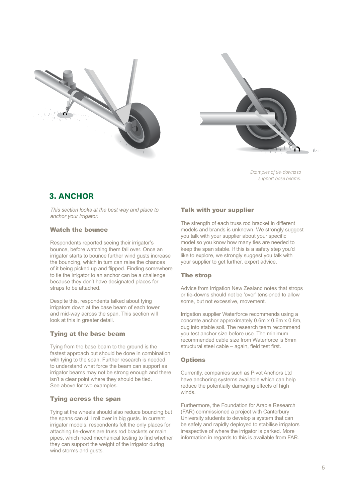



 $\mathbf{t}_{1+1}$ 

*Examples of tie-downs to support base beams.* 

## **3. ANCHOR**

*This section looks at the best way and place to anchor your irrigator.*

#### Watch the bounce

Respondents reported seeing their irrigator's bounce, before watching them fall over. Once an irrigator starts to bounce further wind gusts increase the bouncing, which in turn can raise the chances of it being picked up and flipped. Finding somewhere to tie the irrigator to an anchor can be a challenge because they don't have designated places for straps to be attached.

Despite this, respondents talked about tying irrigators down at the base beam of each tower and mid-way across the span. This section will look at this in greater detail.

#### Tying at the base beam

Tying from the base beam to the ground is the fastest approach but should be done in combination with tying to the span. Further research is needed to understand what force the beam can support as irrigator beams may not be strong enough and there isn't a clear point where they should be tied. See above for two examples.

#### Tying across the span

Tying at the wheels should also reduce bouncing but the spans can still roll over in big gusts. In current irrigator models, respondents felt the only places for attaching tie-downs are truss rod brackets or main pipes, which need mechanical testing to find whether they can support the weight of the irrigator during wind storms and gusts.

#### Talk with your supplier

The strength of each truss rod bracket in different models and brands is unknown. We strongly suggest you talk with your supplier about your specific model so you know how many ties are needed to keep the span stable. If this is a safety step you'd like to explore, we strongly suggest you talk with your supplier to get further, expert advice.

#### The strop

Advice from Irrigation New Zealand notes that strops or tie-downs should not be 'over' tensioned to allow some, but not excessive, movement.

Irrigation supplier Waterforce recommends using a concrete anchor approximately 0.6m x 0.6m x 0.8m, dug into stable soil. The research team recommend you test anchor size before use. The minimum recommended cable size from Waterforce is 6mm structural steel cable – again, field test first.

#### **Options**

Currently, companies such as Pivot Anchors Ltd have anchoring systems available which can help reduce the potentially damaging effects of high winds.

Furthermore, the Foundation for Arable Research (FAR) commissioned a project with Canterbury University students to develop a system that can be safely and rapidly deployed to stabilise irrigators irrespective of where the irrigator is parked. More information in regards to this is available from FAR.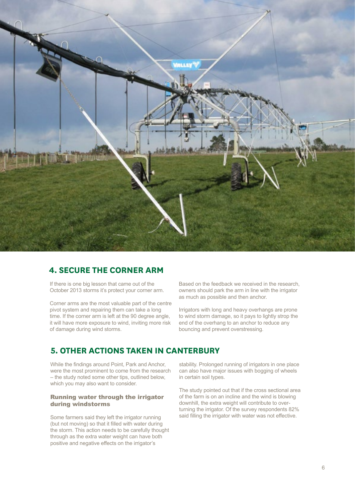

## **4. SECURE THE CORNER ARM**

If there is one big lesson that came out of the October 2013 storms it's protect your corner arm.

Corner arms are the most valuable part of the centre pivot system and repairing them can take a long time. If the corner arm is left at the 90 degree angle, it will have more exposure to wind, inviting more risk of damage during wind storms.

Based on the feedback we received in the research, owners should park the arm in line with the irrigator as much as possible and then anchor.

Irrigators with long and heavy overhangs are prone to wind storm damage, so it pays to lightly strop the end of the overhang to an anchor to reduce any bouncing and prevent overstressing.

## **5. OTHER ACTIONS TAKEN IN CANTERBURY**

While the findings around Point, Park and Anchor, were the most prominent to come from the research – the study noted some other tips, outlined below, which you may also want to consider.

#### Running water through the irrigator during windstorms

Some farmers said they left the irrigator running (but not moving) so that it filled with water during the storm. This action needs to be carefully thought through as the extra water weight can have both positive and negative effects on the irrigator's

stability. Prolonged running of irrigators in one place can also have major issues with bogging of wheels in certain soil types.

The study pointed out that if the cross sectional area of the farm is on an incline and the wind is blowing downhill, the extra weight will contribute to overturning the irrigator. Of the survey respondents 82% said filling the irrigator with water was not effective.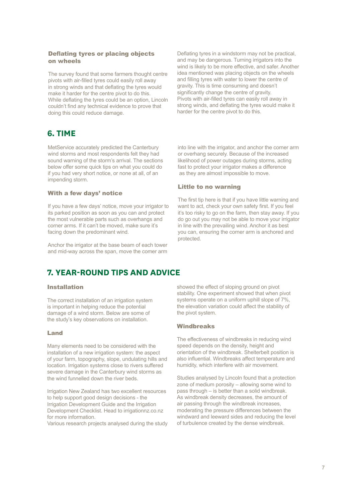#### Deflating tyres or placing objects on wheels

The survey found that some farmers thought centre pivots with air-filled tyres could easily roll away in strong winds and that deflating the tyres would make it harder for the centre pivot to do this. While deflating the tyres could be an option, Lincoln couldn't find any technical evidence to prove that doing this could reduce damage.

## **6. TIME**

MetService accurately predicted the Canterbury wind storms and most respondents felt they had sound warning of the storm's arrival. The sections below offer some quick tips on what you could do if you had very short notice, or none at all, of an impending storm.

#### With a few days' notice

If you have a few days' notice, move your irrigator to its parked position as soon as you can and protect the most vulnerable parts such as overhangs and corner arms. If it can't be moved, make sure it's facing down the predominant wind.

Anchor the irrigator at the base beam of each tower and mid-way across the span, move the comer arm

Deflating tyres in a windstorm may not be practical, and may be dangerous. Turning irrigators into the wind is likely to be more effective, and safer. Another idea mentioned was placing objects on the wheels and filling tyres with water to lower the centre of gravity. This is time consuming and doesn't significantly change the centre of gravity. Pivots with air-filled tyres can easily roll away in strong winds, and deflating the tyres would make it harder for the centre pivot to do this.

into line with the irrigator, and anchor the corner arm or overhang securely. Because of the increased likelihood of power outages during storms, acting fast to protect your irrigator makes a difference as they are almost impossible to move.

#### Little to no warning

The first tip here is that if you have little warning and want to act, check your own safety first. If you feel it's too risky to go on the farm, then stay away. If you do go out you may not be able to move your irrigator in line with the prevailing wind. Anchor it as best you can, ensuring the corner arm is anchored and protected.

## **7. YEAR-ROUND TIPS AND ADVICE**

#### Installation

The correct installation of an irrigation system is important in helping reduce the potential damage of a wind storm. Below are some of the study's key observations on installation.

#### Land

Many elements need to be considered with the installation of a new irrigation system: the aspect of your farm, topography, slope, undulating hills and location. Irrigation systems close to rivers suffered severe damage in the Canterbury wind storms as the wind funnelled down the river beds.

Irrigation New Zealand has two excellent resources to help support good design decisions - the Irrigation Development Guide and the Irrigation Development Checklist. Head to irrigationnz.co.nz for more information.

Various research projects analysed during the study

showed the effect of sloping ground on pivot stability. One experiment showed that when pivot systems operate on a uniform uphill slope of 7%, the elevation variation could affect the stability of the pivot system.

#### **Windbreaks**

The effectiveness of windbreaks in reducing wind speed depends on the density, height and orientation of the windbreak. Shelterbelt position is also influential. Windbreaks affect temperature and humidity, which interfere with air movement.

Studies analysed by Lincoln found that a protection zone of medium porosity – allowing some wind to pass through – is better than a solid windbreak. As windbreak density decreases, the amount of air passing through the windbreak increases, moderating the pressure differences between the windward and leeward sides and reducing the level of turbulence created by the dense windbreak.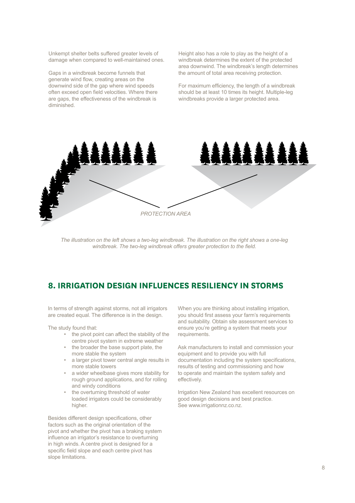Unkempt shelter belts suffered greater levels of damage when compared to well-maintained ones.

Gaps in a windbreak become funnels that generate wind flow, creating areas on the downwind side of the gap where wind speeds often exceed open field velocities. Where there are gaps, the effectiveness of the windbreak is diminished.

Height also has a role to play as the height of a windbreak determines the extent of the protected area downwind. The windbreak's length determines the amount of total area receiving protection.

For maximum efficiency, the length of a windbreak should be at least 10 times its height. Multiple-leg windbreaks provide a larger protected area.



*The illustration on the left shows a two-leg windbreak. The illustration on the right shows a one-leg windbreak. The two-leg windbreak offers greater protection to the field.*

## **8. IRRIGATION DESIGN INFLUENCES RESILIENCY IN STORMS**

In terms of strength against storms, not all irrigators are created equal. The difference is in the design.

The study found that:

- the pivot point can affect the stability of the centre pivot system in extreme weather
- the broader the base support plate, the more stable the system
- a larger pivot tower central angle results in more stable towers
- a wider wheelbase gives more stability for rough ground applications, and for rolling and windy conditions
- the overturning threshold of water loaded irrigators could be considerably higher.

Besides different design specifications, other factors such as the original orientation of the pivot and whether the pivot has a braking system influence an irrigator's resistance to overturning in high winds. A centre pivot is designed for a specific field slope and each centre pivot has slope limitations.

When you are thinking about installing irrigation, you should first assess your farm's requirements and suitability. Obtain site assessment services to ensure you're getting a system that meets your requirements.

Ask manufacturers to install and commission your equipment and to provide you with full documentation including the system specifications, results of testing and commissioning and how to operate and maintain the system safely and effectively.

Irrigation New Zealand has excellent resources on good design decisions and best practice. See www.irrigationnz.co.nz.